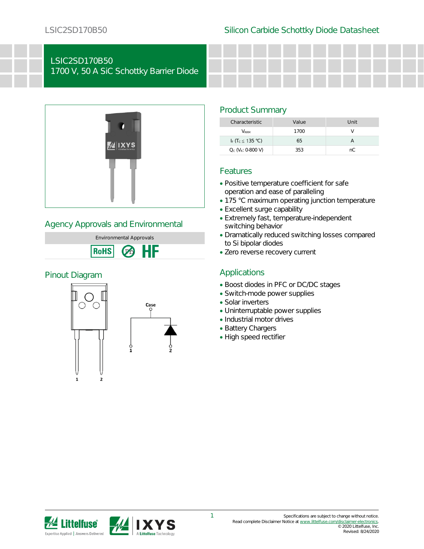# LSIC2SD170B50

1700 V, 50 A SiC Schottky Barrier Diode



## Agency Approvals and Environmental



## Pinout Diagram



## Product Summary

| Characteristic                            | Value | Unit |
|-------------------------------------------|-------|------|
| <b>V</b> <sub>RRM</sub>                   | 1700  |      |
| I <sub>F</sub> $(T_c \leq 135 \degree C)$ | 65    |      |
| $Q_c$ ( $V_R$ : 0-800 V)                  | 353   | nC.  |

## Features

- Positive temperature coefficient for safe operation and ease of paralleling
- 175 °C maximum operating junction temperature
- Excellent surge capability
- Extremely fast, temperature-independent switching behavior
- Dramatically reduced switching losses compared to Si bipolar diodes
- Zero reverse recovery current

## Applications

- Boost diodes in PFC or DC/DC stages
- Switch-mode power supplies
- Solar inverters
- Uninterruptable power supplies
- Industrial motor drives
- Battery Chargers
- High speed rectifier

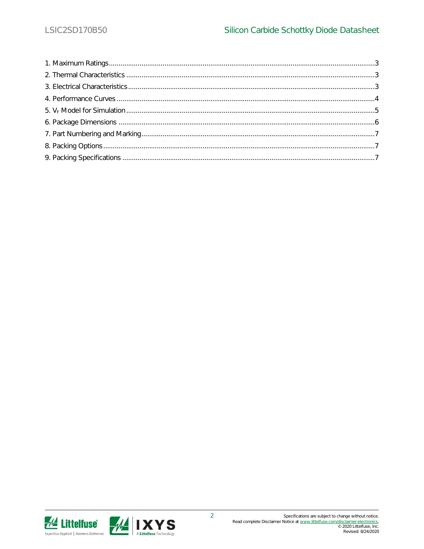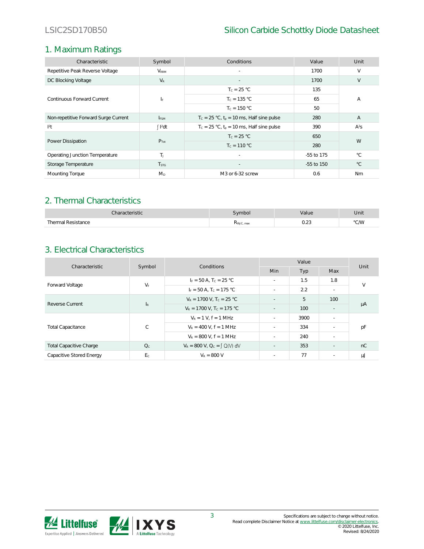## 1. Maximum Ratings

| Characteristic                       | Symbol                  | Conditions                                     | Value      | Unit           |  |
|--------------------------------------|-------------------------|------------------------------------------------|------------|----------------|--|
| Repetitive Peak Reverse Voltage      | $V_{\rm RRM}$           | $\sim$                                         | 1700       | V              |  |
| DC Blocking Voltage                  | $V_{R}$                 |                                                | 1700       | V              |  |
| Continuous Forward Current           |                         | $T_c = 25 °C$                                  | 135        | А              |  |
|                                      | IF.                     | $T_c = 135 °C$                                 | 65         |                |  |
|                                      |                         | $T_c = 150 °C$                                 | 50         |                |  |
| Non-repetitive Forward Surge Current | <b>I</b> <sub>ESM</sub> | $T_c = 25 °C$ , $t_o = 10$ ms, Half sine pulse | 280        | $\overline{A}$ |  |
| $ ^{2}$ t                            | $\int$ $I^2$ dt         | $T_c = 25 °C$ , $t_o = 10$ ms, Half sine pulse | 390        | $A^2S$         |  |
| Power Dissipation                    | $P_{Tot}$               | $T_c = 25 °C$                                  | 650        | W              |  |
|                                      |                         | $T_c = 110 °C$                                 | 280        |                |  |
| Operating Junction Temperature       | T <sub>L</sub>          | $\sim$                                         | -55 to 175 | $^{\circ}$ C.  |  |
| Storage Temperature                  | <b>T</b> <sub>STG</sub> |                                                | -55 to 150 | $^{\circ}$ C   |  |
| Mounting Torque                      | $M_{D}$                 | M3 or 6-32 screw                               | 0.6        | Nm             |  |

## 2. Thermal Characteristics

| √haracteristic          | vmbol      | 'alue                  | Unit |
|-------------------------|------------|------------------------|------|
| Thermal Resistance<br>. | KthJC, max | $\cup$ . $\sim$ $\cup$ | °C/W |

## 3. Electrical Characteristics

| Characteristic                 | Symbol                    | Conditions                              | Value                    |      |                          | Unit   |
|--------------------------------|---------------------------|-----------------------------------------|--------------------------|------|--------------------------|--------|
|                                |                           |                                         | <b>Min</b>               | Typ  | Max                      |        |
| Forward Voltage                | $V_F$                     | $I_F = 50 A$ , $T_C = 25 °C$            | ÷.                       | 1.5  | 1.8                      | $\vee$ |
|                                |                           | $I_F = 50 A$ , $T_C = 175 °C$           | ÷.                       | 2.2  | $\sim$                   |        |
| Reverse Current                | $\mathsf{I}_{\mathsf{R}}$ | $V_R = 1700$ V, $T_c = 25$ °C           | ÷,                       | 5    | 100                      |        |
|                                |                           | $V_R = 1700$ V, T <sub>c</sub> = 175 °C | $\sim$                   | 100  | $\overline{\phantom{a}}$ | μA     |
| <b>Total Capacitance</b>       | $\mathsf{C}$              | $V_R = 1 V$ . $f = 1 MHz$               | $\sim$                   | 3900 | $\overline{\phantom{a}}$ |        |
|                                |                           | $V_R = 400$ V, $f = 1$ MHz              | ٠                        | 334  | ÷.                       | рF     |
|                                |                           | $V_R$ = 800 V, f = 1 MHz                | $\sim$                   | 240  | $\sim$                   |        |
| <b>Total Capacitive Charge</b> | Q <sub>c</sub>            | $V_R = 800$ V, $Q_C = \int Q(V) dV$     | $\overline{\phantom{a}}$ | 353  | ٠                        | nC     |
| Capacitive Stored Energy       | E <sub>c</sub>            | $V_R = 800 V$                           | ÷.                       | 77   | $\sim$                   | μJ     |

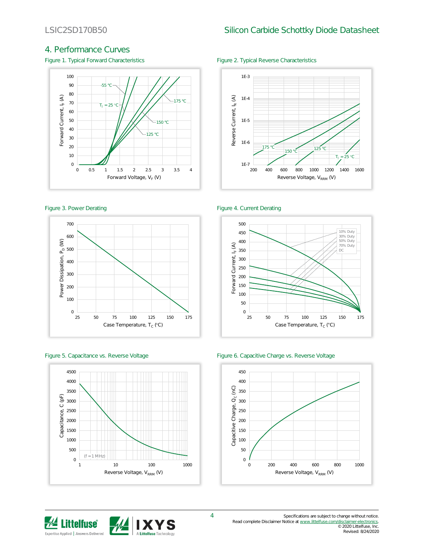## 4. Performance Curves

Figure 1. Typical Forward Characteristics Figure 2. Typical Reverse Characteristics











### Figure 3. Power Derating The Contract of the Figure 4. Current Derating





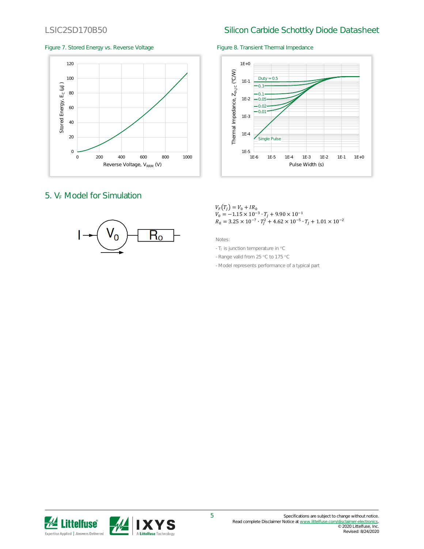## LSIC2SD170B50 Silicon Carbide Schottky Diode Datasheet

### Figure 7. Stored Energy vs. Reverse Voltage Figure 8. Transient Thermal Impedance



## 5. V<sub>E</sub> Model for Simulation





### $V_F(T_J) = V_0 + IR_0$  $V_0 = -1.15 \times 10^{-3} \cdot T_J + 9.90 \times 10^{-1}$  $R_0 = 3.25 \times 10^{-7} \cdot T_f^2 + 4.62 \times 10^{-5} \cdot T_f + 1.01 \times 10^{-2}$

Notes:

- TJ is junction temperature in °C

- Range valid from 25 °C to 175 °C

- Model represents performance of a typical part

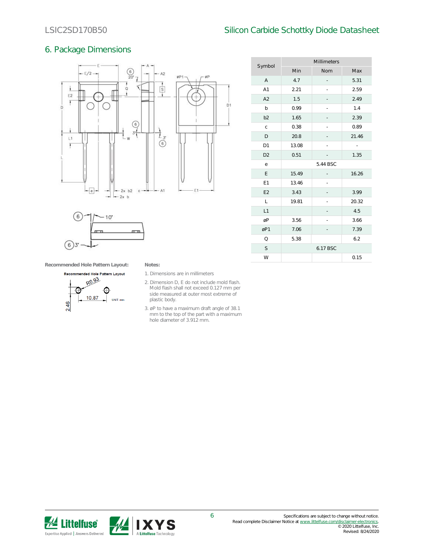## LSIC2SD170B50 Silicon Carbide Schottky Diode Datasheet

Millimeters

## 6. Package Dimensions





| Symbol         | Min      | Nom | Max   |  |
|----------------|----------|-----|-------|--|
| $\overline{A}$ | 4.7      |     | 5.31  |  |
| A1             | 2.21     |     | 2.59  |  |
| A2             | 1.5      |     | 2.49  |  |
| b              | 0.99     |     | 1.4   |  |
| b <sub>2</sub> | 1.65     |     | 2.39  |  |
| $\mathsf{C}$   | 0.38     |     | 0.89  |  |
| D              | 20.8     |     | 21.46 |  |
| D <sub>1</sub> | 13.08    |     | ÷,    |  |
| D <sub>2</sub> | 0.51     |     | 1.35  |  |
| e              | 5.44 BSC |     |       |  |
| E              | 15.49    |     | 16.26 |  |
| E1             | 13.46    |     |       |  |
| E <sub>2</sub> | 3.43     |     | 3.99  |  |
| L              | 19.81    |     | 20.32 |  |
| L1             |          |     | 4.5   |  |
| øP             | 3.56     |     | 3.66  |  |
| øP1            | 7.06     |     | 7.39  |  |
| $\circ$        | 5.38     |     | 6.2   |  |
| S              | 6.17 BSC |     |       |  |
| W              |          |     | 0.15  |  |

**Recommended Hole Pattern Layout: Notes:**



- 1. Dimensions are in millimeters
- 2. Dimension D, E do not include mold flash. Mold flash shall not exceed 0.127 mm per side measured at outer most extreme of plastic body.
- 3. øP to have a maximum draft angle of 38.1 mm to the top of the part with a maximum hole diameter of 3.912 mm.